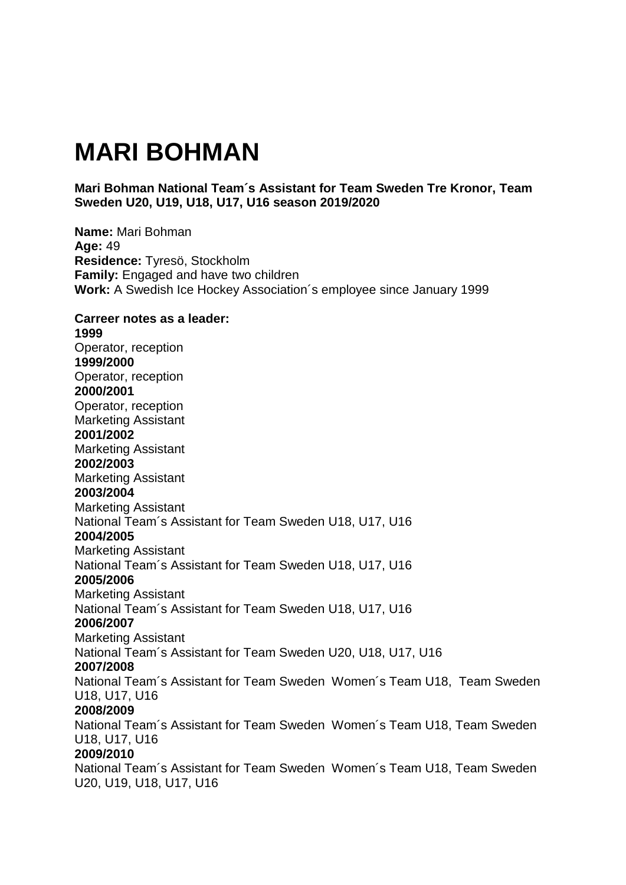# **MARI BOHMAN**

## **Mari Bohman National Team´s Assistant for Team Sweden Tre Kronor, Team Sweden U20, U19, U18, U17, U16 season 2019/2020**

**Name:** Mari Bohman **Age:** 49 **Residence:** Tyresö, Stockholm **Family:** Engaged and have two children **Work:** A Swedish Ice Hockey Association´s employee since January 1999 **Carreer notes as a leader: 1999** Operator, reception **1999/2000** Operator, reception **2000/2001** Operator, reception Marketing Assistant **2001/2002** Marketing Assistant **2002/2003** Marketing Assistant **2003/2004** Marketing Assistant National Team´s Assistant for Team Sweden U18, U17, U16 **2004/2005** Marketing Assistant National Team´s Assistant for Team Sweden U18, U17, U16 **2005/2006** Marketing Assistant National Team´s Assistant for Team Sweden U18, U17, U16 **2006/2007**  Marketing Assistant National Team´s Assistant for Team Sweden U20, U18, U17, U16 **2007/2008**  National Team´s Assistant for Team Sweden Women´s Team U18, Team Sweden U18, U17, U16 **2008/2009**  National Team´s Assistant for Team Sweden Women´s Team U18, Team Sweden U18, U17, U16 **2009/2010** National Team´s Assistant for Team Sweden Women´s Team U18, Team Sweden U20, U19, U18, U17, U16